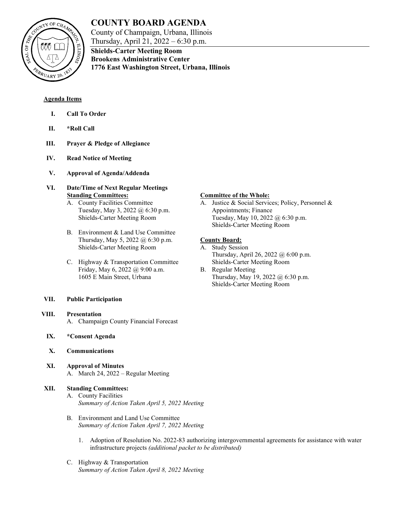

# **COUNTY BOARD AGENDA**

**Shields-Carter Meeting Room Brookens Administrative Center**

County of Champaign, Urbana, Illinois Thursday, April 21, 2022 – 6:30 p.m.

**1776 East Washington Street, Urbana, Illinois**

**Agenda Items**

- **I. Call To Order**
- **II. \*Roll Call**
- **III. Prayer & Pledge of Allegiance**
- **IV. Read Notice of Meeting**
- **V. Approval of Agenda/Addenda**
- **VI. Date/Time of Next Regular Meetings Standing Committees:**
	- A. County Facilities Committee Tuesday, May 3, 2022 @ 6:30 p.m. Shields-Carter Meeting Room
	- B. Environment & Land Use Committee Thursday, May 5, 2022 @ 6:30 p.m. Shields-Carter Meeting Room
	- C. Highway & Transportation Committee Friday, May 6, 2022 @ 9:00 a.m. 1605 E Main Street, Urbana
- **VII. Public Participation**
- **VIII. Presentation** A. Champaign County Financial Forecast
	- **IX. \*Consent Agenda**
	- **X. Communications**
	- **XI. Approval of Minutes** A. March 24, 2022 – Regular Meeting

# **XII. Standing Committees:**

- A. County Facilities *Summary of Action Taken April 5, 2022 Meeting*
- B. Environment and Land Use Committee *Summary of Action Taken April 7, 2022 Meeting*
	- 1. Adoption of Resolution No. 2022-83 authorizing intergovernmental agreements for assistance with water infrastructure projects *(additional packet to be distributed)*
- C. Highway & Transportation *Summary of Action Taken April 8, 2022 Meeting*

## **Committee of the Whole:**

A. Justice & Social Services; Policy, Personnel & Appointments; Finance Tuesday, May 10, 2022 @ 6:30 p.m. Shields-Carter Meeting Room

# **County Board:**

- A. Study Session Thursday, April 26, 2022 @ 6:00 p.m. Shields-Carter Meeting Room
- B. Regular Meeting Thursday, May 19, 2022 @ 6:30 p.m. Shields-Carter Meeting Room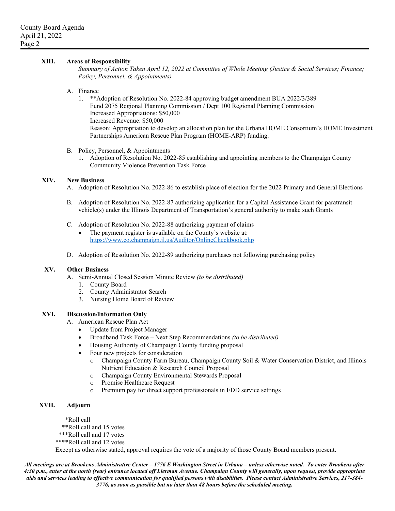#### **XIII. Areas of Responsibility**

*Summary of Action Taken April 12, 2022 at Committee of Whole Meeting (Justice & Social Services; Finance; Policy, Personnel, & Appointments)*

#### A. Finance

1. \*\*Adoption of Resolution No. 2022-84 approving budget amendment BUA 2022/3/389 Fund 2075 Regional Planning Commission / Dept 100 Regional Planning Commission Increased Appropriations: \$50,000 Increased Revenue: \$50,000 Reason: Appropriation to develop an allocation plan for the Urbana HOME Consortium's HOME Investment Partnerships American Rescue Plan Program (HOME-ARP) funding.

#### B. Policy, Personnel, & Appointments

1. Adoption of Resolution No. 2022-85 establishing and appointing members to the Champaign County Community Violence Prevention Task Force

#### **XIV. New Business**

- A. Adoption of Resolution No. 2022-86 to establish place of election for the 2022 Primary and General Elections
- B. Adoption of Resolution No. 2022-87 authorizing application for a Capital Assistance Grant for paratransit vehicle(s) under the Illinois Department of Transportation's general authority to make such Grants
- C. Adoption of Resolution No. 2022-88 authorizing payment of claims
	- The payment register is available on the County's website at: <https://www.co.champaign.il.us/Auditor/OnlineCheckbook.php>
- D. Adoption of Resolution No. 2022-89 authorizing purchases not following purchasing policy

#### **XV. Other Business**

A. Semi-Annual Closed Session Minute Review *(to be distributed)*

- 1. County Board
- 2. County Administrator Search
- 3. Nursing Home Board of Review

#### **XVI. Discussion/Information Only**

- A. American Rescue Plan Act
	- Update from Project Manager
	- Broadband Task Force Next Step Recommendations *(to be distributed)*
	- Housing Authority of Champaign County funding proposal
	- Four new projects for consideration
		- o Champaign County Farm Bureau, Champaign County Soil & Water Conservation District, and Illinois Nutrient Education & Research Council Proposal
		- o Champaign County Environmental Stewards Proposal
		- o Promise Healthcare Request
		- o Premium pay for direct support professionals in I/DD service settings

# **XVII. Adjourn**

\*Roll call

- \*\*Roll call and 15 votes
- \*\*\*Roll call and 17 votes
- \*\*\*\*Roll call and 12 votes

Except as otherwise stated, approval requires the vote of a majority of those County Board members present.

*All meetings are at Brookens Administrative Center – 1776 E Washington Street in Urbana – unless otherwise noted. To enter Brookens after 4:30 p.m., enter at the north (rear) entrance located off Lierman Avenue. Champaign County will generally, upon request, provide appropriate aids and services leading to effective communication for qualified persons with disabilities. Please contact Administrative Services, 217-384- 3776, as soon as possible but no later than 48 hours before the scheduled meeting.*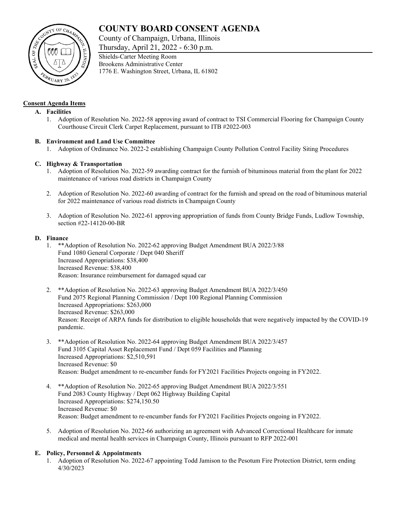# **COUNTY BOARD CONSENT AGENDA**

County of Champaign, Urbana, Illinois

Thursday, April 21, 2022 - 6:30 p.m.



## **Consent Agenda Items**

### **A. Facilities**

1. Adoption of Resolution No. 2022-58 approving award of contract to TSI Commercial Flooring for Champaign County Courthouse Circuit Clerk Carpet Replacement, pursuant to ITB #2022-003

## **B. Environment and Land Use Committee**

1. Adoption of Ordinance No. 2022-2 establishing Champaign County Pollution Control Facility Siting Procedures

## **C. Highway & Transportation**

- 1. Adoption of Resolution No. 2022-59 awarding contract for the furnish of bituminous material from the plant for 2022 maintenance of various road districts in Champaign County
- 2. Adoption of Resolution No. 2022-60 awarding of contract for the furnish and spread on the road of bituminous material for 2022 maintenance of various road districts in Champaign County
- 3. Adoption of Resolution No. 2022-61 approving appropriation of funds from County Bridge Funds, Ludlow Township, section #22-14120-00-BR

## **D. Finance**

- 1. \*\*Adoption of Resolution No. 2022-62 approving Budget Amendment BUA 2022/3/88 Fund 1080 General Corporate / Dept 040 Sheriff Increased Appropriations: \$38,400 Increased Revenue: \$38,400 Reason: Insurance reimbursement for damaged squad car
- 2. \*\*Adoption of Resolution No. 2022-63 approving Budget Amendment BUA 2022/3/450 Fund 2075 Regional Planning Commission / Dept 100 Regional Planning Commission Increased Appropriations: \$263,000 Increased Revenue: \$263,000 Reason: Receipt of ARPA funds for distribution to eligible households that were negatively impacted by the COVID-19 pandemic.
- 3. \*\*Adoption of Resolution No. 2022-64 approving Budget Amendment BUA 2022/3/457 Fund 3105 Capital Asset Replacement Fund / Dept 059 Facilities and Planning Increased Appropriations: \$2,510,591 Increased Revenue: \$0 Reason: Budget amendment to re-encumber funds for FY2021 Facilities Projects ongoing in FY2022.
- 4. \*\*Adoption of Resolution No. 2022-65 approving Budget Amendment BUA 2022/3/551 Fund 2083 County Highway / Dept 062 Highway Building Capital Increased Appropriations: \$274,150.50 Increased Revenue: \$0 Reason: Budget amendment to re-encumber funds for FY2021 Facilities Projects ongoing in FY2022.
- 5. Adoption of Resolution No. 2022-66 authorizing an agreement with Advanced Correctional Healthcare for inmate medical and mental health services in Champaign County, Illinois pursuant to RFP 2022-001

# **E. Policy, Personnel & Appointments**

1. Adoption of Resolution No. 2022-67 appointing Todd Jamison to the Pesotum Fire Protection District, term ending 4/30/2023

Shields-Carter Meeting Room Brookens Administrative Center 1776 E. Washington Street, Urbana, IL 61802